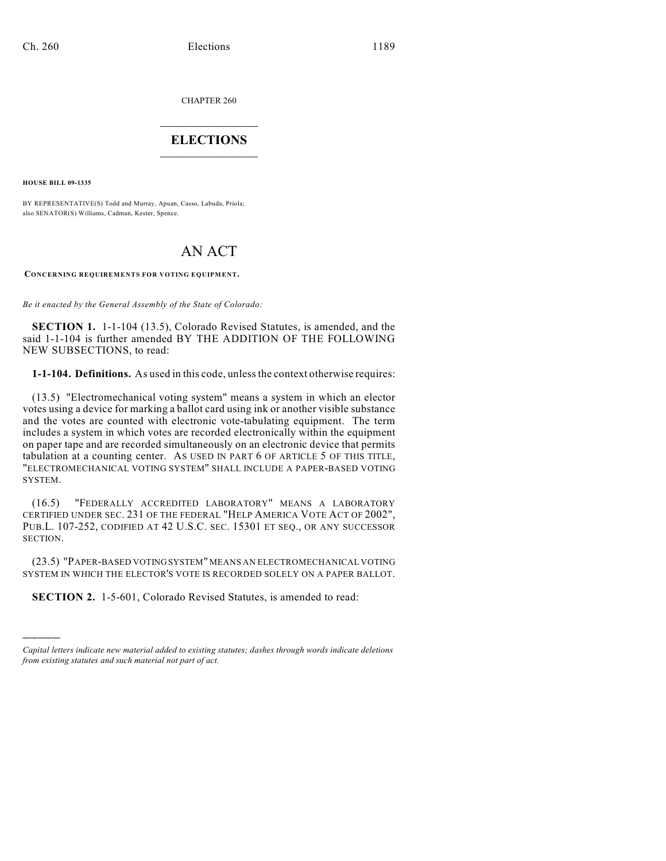CHAPTER 260

## $\overline{\phantom{a}}$  . The set of the set of the set of the set of the set of the set of the set of the set of the set of the set of the set of the set of the set of the set of the set of the set of the set of the set of the set o **ELECTIONS**  $\_$

**HOUSE BILL 09-1335**

)))))

BY REPRESENTATIVE(S) Todd and Murray, Apuan, Casso, Labuda, Priola; also SENATOR(S) Williams, Cadman, Kester, Spence.

## AN ACT

**CONCERNING REQUIREMENTS FOR VOTING EQUIPMENT.**

*Be it enacted by the General Assembly of the State of Colorado:*

**SECTION 1.** 1-1-104 (13.5), Colorado Revised Statutes, is amended, and the said 1-1-104 is further amended BY THE ADDITION OF THE FOLLOWING NEW SUBSECTIONS, to read:

**1-1-104. Definitions.** As used in this code, unless the context otherwise requires:

(13.5) "Electromechanical voting system" means a system in which an elector votes using a device for marking a ballot card using ink or another visible substance and the votes are counted with electronic vote-tabulating equipment. The term includes a system in which votes are recorded electronically within the equipment on paper tape and are recorded simultaneously on an electronic device that permits tabulation at a counting center. AS USED IN PART 6 OF ARTICLE 5 OF THIS TITLE, "ELECTROMECHANICAL VOTING SYSTEM" SHALL INCLUDE A PAPER-BASED VOTING SYSTEM.

(16.5) "FEDERALLY ACCREDITED LABORATORY" MEANS A LABORATORY CERTIFIED UNDER SEC. 231 OF THE FEDERAL "HELP AMERICA VOTE ACT OF 2002", PUB.L. 107-252, CODIFIED AT 42 U.S.C. SEC. 15301 ET SEQ., OR ANY SUCCESSOR SECTION.

(23.5) "PAPER-BASED VOTING SYSTEM" MEANS AN ELECTROMECHANICAL VOTING SYSTEM IN WHICH THE ELECTOR'S VOTE IS RECORDED SOLELY ON A PAPER BALLOT.

**SECTION 2.** 1-5-601, Colorado Revised Statutes, is amended to read:

*Capital letters indicate new material added to existing statutes; dashes through words indicate deletions from existing statutes and such material not part of act.*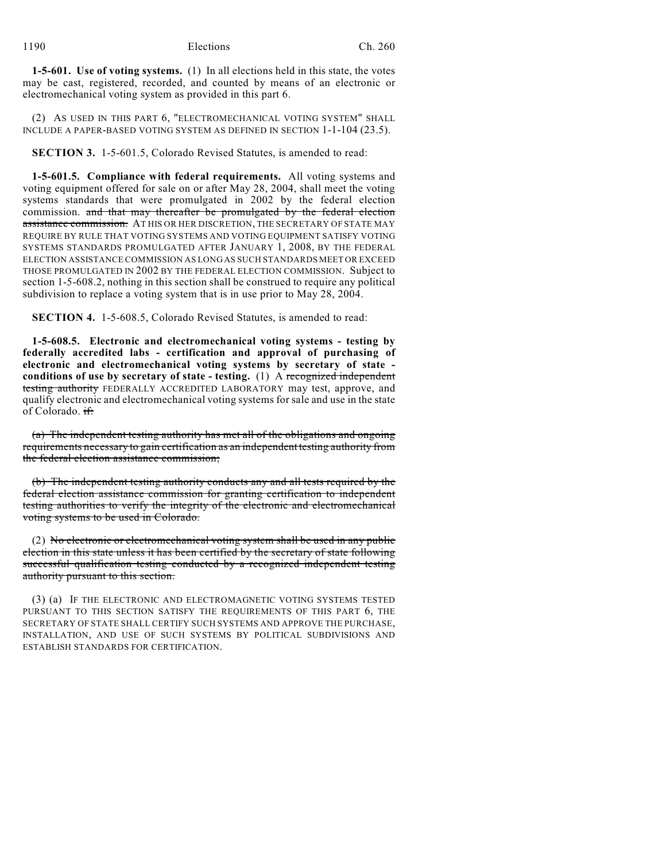**1-5-601. Use of voting systems.** (1) In all elections held in this state, the votes may be cast, registered, recorded, and counted by means of an electronic or electromechanical voting system as provided in this part 6.

(2) AS USED IN THIS PART 6, "ELECTROMECHANICAL VOTING SYSTEM" SHALL INCLUDE A PAPER-BASED VOTING SYSTEM AS DEFINED IN SECTION 1-1-104 (23.5).

**SECTION 3.** 1-5-601.5, Colorado Revised Statutes, is amended to read:

**1-5-601.5. Compliance with federal requirements.** All voting systems and voting equipment offered for sale on or after May 28, 2004, shall meet the voting systems standards that were promulgated in 2002 by the federal election commission. and that may thereafter be promulgated by the federal election assistance commission. ATHIS OR HER DISCRETION, THE SECRETARY OF STATE MAY REQUIRE BY RULE THAT VOTING SYSTEMS AND VOTING EQUIPMENT SATISFY VOTING SYSTEMS STANDARDS PROMULGATED AFTER JANUARY 1, 2008, BY THE FEDERAL ELECTION ASSISTANCE COMMISSION AS LONG AS SUCH STANDARDS MEET OR EXCEED THOSE PROMULGATED IN 2002 BY THE FEDERAL ELECTION COMMISSION. Subject to section 1-5-608.2, nothing in this section shall be construed to require any political subdivision to replace a voting system that is in use prior to May 28, 2004.

**SECTION 4.** 1-5-608.5, Colorado Revised Statutes, is amended to read:

**1-5-608.5. Electronic and electromechanical voting systems - testing by federally accredited labs - certification and approval of purchasing of electronic and electromechanical voting systems by secretary of state conditions of use by secretary of state - testing.** (1) A recognized independent testing authority FEDERALLY ACCREDITED LABORATORY may test, approve, and qualify electronic and electromechanical voting systems for sale and use in the state of Colorado. if:

(a) The independent testing authority has met all of the obligations and ongoing requirements necessary to gain certification as an independent testing authority from the federal election assistance commission;

(b) The independent testing authority conducts any and all tests required by the federal election assistance commission for granting certification to independent testing authorities to verify the integrity of the electronic and electromechanical voting systems to be used in Colorado.

(2) No electronic or electromechanical voting system shall be used in any public election in this state unless it has been certified by the secretary of state following successful qualification testing conducted by a recognized independent testing authority pursuant to this section.

(3) (a) IF THE ELECTRONIC AND ELECTROMAGNETIC VOTING SYSTEMS TESTED PURSUANT TO THIS SECTION SATISFY THE REQUIREMENTS OF THIS PART 6, THE SECRETARY OF STATE SHALL CERTIFY SUCH SYSTEMS AND APPROVE THE PURCHASE, INSTALLATION, AND USE OF SUCH SYSTEMS BY POLITICAL SUBDIVISIONS AND ESTABLISH STANDARDS FOR CERTIFICATION.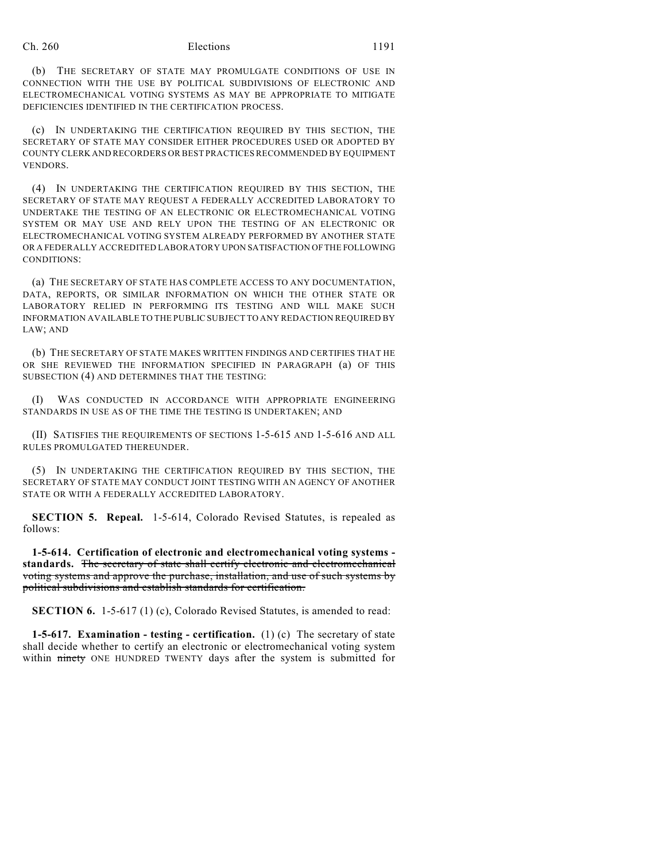## Ch. 260 Elections 1191

(b) THE SECRETARY OF STATE MAY PROMULGATE CONDITIONS OF USE IN CONNECTION WITH THE USE BY POLITICAL SUBDIVISIONS OF ELECTRONIC AND ELECTROMECHANICAL VOTING SYSTEMS AS MAY BE APPROPRIATE TO MITIGATE DEFICIENCIES IDENTIFIED IN THE CERTIFICATION PROCESS.

(c) IN UNDERTAKING THE CERTIFICATION REQUIRED BY THIS SECTION, THE SECRETARY OF STATE MAY CONSIDER EITHER PROCEDURES USED OR ADOPTED BY COUNTY CLERK AND RECORDERS OR BEST PRACTICES RECOMMENDED BY EQUIPMENT VENDORS.

(4) IN UNDERTAKING THE CERTIFICATION REQUIRED BY THIS SECTION, THE SECRETARY OF STATE MAY REQUEST A FEDERALLY ACCREDITED LABORATORY TO UNDERTAKE THE TESTING OF AN ELECTRONIC OR ELECTROMECHANICAL VOTING SYSTEM OR MAY USE AND RELY UPON THE TESTING OF AN ELECTRONIC OR ELECTROMECHANICAL VOTING SYSTEM ALREADY PERFORMED BY ANOTHER STATE OR A FEDERALLY ACCREDITED LABORATORY UPON SATISFACTION OF THE FOLLOWING CONDITIONS:

(a) THE SECRETARY OF STATE HAS COMPLETE ACCESS TO ANY DOCUMENTATION, DATA, REPORTS, OR SIMILAR INFORMATION ON WHICH THE OTHER STATE OR LABORATORY RELIED IN PERFORMING ITS TESTING AND WILL MAKE SUCH INFORMATION AVAILABLE TO THE PUBLIC SUBJECT TO ANY REDACTION REQUIRED BY LAW; AND

(b) THE SECRETARY OF STATE MAKES WRITTEN FINDINGS AND CERTIFIES THAT HE OR SHE REVIEWED THE INFORMATION SPECIFIED IN PARAGRAPH (a) OF THIS SUBSECTION (4) AND DETERMINES THAT THE TESTING:

(I) WAS CONDUCTED IN ACCORDANCE WITH APPROPRIATE ENGINEERING STANDARDS IN USE AS OF THE TIME THE TESTING IS UNDERTAKEN; AND

(II) SATISFIES THE REQUIREMENTS OF SECTIONS 1-5-615 AND 1-5-616 AND ALL RULES PROMULGATED THEREUNDER.

(5) IN UNDERTAKING THE CERTIFICATION REQUIRED BY THIS SECTION, THE SECRETARY OF STATE MAY CONDUCT JOINT TESTING WITH AN AGENCY OF ANOTHER STATE OR WITH A FEDERALLY ACCREDITED LABORATORY.

**SECTION 5. Repeal.** 1-5-614, Colorado Revised Statutes, is repealed as follows:

**1-5-614. Certification of electronic and electromechanical voting systems standards.** The secretary of state shall certify electronic and electromechanical voting systems and approve the purchase, installation, and use of such systems by political subdivisions and establish standards for certification.

**SECTION 6.** 1-5-617 (1) (c), Colorado Revised Statutes, is amended to read:

**1-5-617. Examination - testing - certification.** (1) (c) The secretary of state shall decide whether to certify an electronic or electromechanical voting system within ninety ONE HUNDRED TWENTY days after the system is submitted for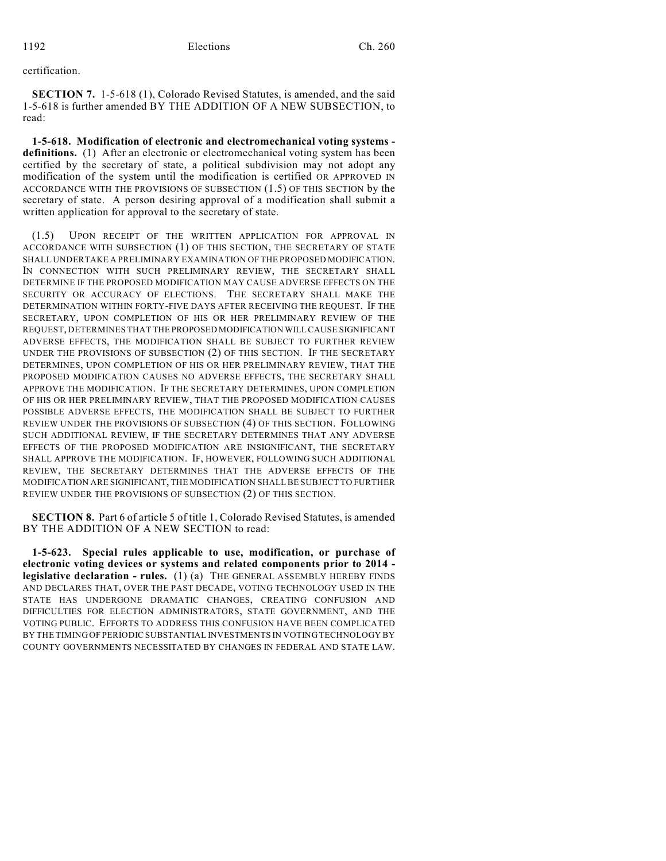certification.

**SECTION 7.** 1-5-618 (1), Colorado Revised Statutes, is amended, and the said 1-5-618 is further amended BY THE ADDITION OF A NEW SUBSECTION, to read:

**1-5-618. Modification of electronic and electromechanical voting systems**  definitions. (1) After an electronic or electromechanical voting system has been certified by the secretary of state, a political subdivision may not adopt any modification of the system until the modification is certified OR APPROVED IN ACCORDANCE WITH THE PROVISIONS OF SUBSECTION (1.5) OF THIS SECTION by the secretary of state. A person desiring approval of a modification shall submit a written application for approval to the secretary of state.

(1.5) UPON RECEIPT OF THE WRITTEN APPLICATION FOR APPROVAL IN ACCORDANCE WITH SUBSECTION (1) OF THIS SECTION, THE SECRETARY OF STATE SHALL UNDERTAKE A PRELIMINARY EXAMINATION OF THE PROPOSED MODIFICATION. IN CONNECTION WITH SUCH PRELIMINARY REVIEW, THE SECRETARY SHALL DETERMINE IF THE PROPOSED MODIFICATION MAY CAUSE ADVERSE EFFECTS ON THE SECURITY OR ACCURACY OF ELECTIONS. THE SECRETARY SHALL MAKE THE DETERMINATION WITHIN FORTY-FIVE DAYS AFTER RECEIVING THE REQUEST. IF THE SECRETARY, UPON COMPLETION OF HIS OR HER PRELIMINARY REVIEW OF THE REQUEST, DETERMINES THAT THE PROPOSED MODIFICATION WILL CAUSE SIGNIFICANT ADVERSE EFFECTS, THE MODIFICATION SHALL BE SUBJECT TO FURTHER REVIEW UNDER THE PROVISIONS OF SUBSECTION (2) OF THIS SECTION. IF THE SECRETARY DETERMINES, UPON COMPLETION OF HIS OR HER PRELIMINARY REVIEW, THAT THE PROPOSED MODIFICATION CAUSES NO ADVERSE EFFECTS, THE SECRETARY SHALL APPROVE THE MODIFICATION. IF THE SECRETARY DETERMINES, UPON COMPLETION OF HIS OR HER PRELIMINARY REVIEW, THAT THE PROPOSED MODIFICATION CAUSES POSSIBLE ADVERSE EFFECTS, THE MODIFICATION SHALL BE SUBJECT TO FURTHER REVIEW UNDER THE PROVISIONS OF SUBSECTION (4) OF THIS SECTION. FOLLOWING SUCH ADDITIONAL REVIEW, IF THE SECRETARY DETERMINES THAT ANY ADVERSE EFFECTS OF THE PROPOSED MODIFICATION ARE INSIGNIFICANT, THE SECRETARY SHALL APPROVE THE MODIFICATION. IF, HOWEVER, FOLLOWING SUCH ADDITIONAL REVIEW, THE SECRETARY DETERMINES THAT THE ADVERSE EFFECTS OF THE MODIFICATION ARE SIGNIFICANT, THE MODIFICATION SHALL BE SUBJECT TO FURTHER REVIEW UNDER THE PROVISIONS OF SUBSECTION (2) OF THIS SECTION.

**SECTION 8.** Part 6 of article 5 of title 1, Colorado Revised Statutes, is amended BY THE ADDITION OF A NEW SECTION to read:

**1-5-623. Special rules applicable to use, modification, or purchase of electronic voting devices or systems and related components prior to 2014 legislative declaration - rules.** (1) (a) THE GENERAL ASSEMBLY HEREBY FINDS AND DECLARES THAT, OVER THE PAST DECADE, VOTING TECHNOLOGY USED IN THE STATE HAS UNDERGONE DRAMATIC CHANGES, CREATING CONFUSION AND DIFFICULTIES FOR ELECTION ADMINISTRATORS, STATE GOVERNMENT, AND THE VOTING PUBLIC. EFFORTS TO ADDRESS THIS CONFUSION HAVE BEEN COMPLICATED BY THE TIMING OF PERIODIC SUBSTANTIAL INVESTMENTS IN VOTING TECHNOLOGY BY COUNTY GOVERNMENTS NECESSITATED BY CHANGES IN FEDERAL AND STATE LAW.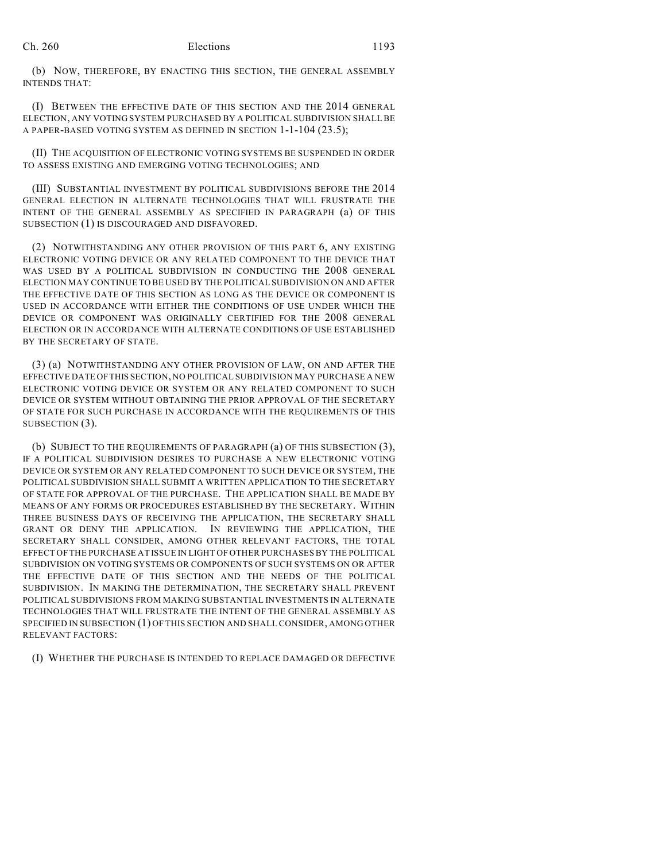(b) NOW, THEREFORE, BY ENACTING THIS SECTION, THE GENERAL ASSEMBLY INTENDS THAT:

(I) BETWEEN THE EFFECTIVE DATE OF THIS SECTION AND THE 2014 GENERAL ELECTION, ANY VOTING SYSTEM PURCHASED BY A POLITICAL SUBDIVISION SHALL BE A PAPER-BASED VOTING SYSTEM AS DEFINED IN SECTION 1-1-104 (23.5);

(II) THE ACQUISITION OF ELECTRONIC VOTING SYSTEMS BE SUSPENDED IN ORDER TO ASSESS EXISTING AND EMERGING VOTING TECHNOLOGIES; AND

(III) SUBSTANTIAL INVESTMENT BY POLITICAL SUBDIVISIONS BEFORE THE 2014 GENERAL ELECTION IN ALTERNATE TECHNOLOGIES THAT WILL FRUSTRATE THE INTENT OF THE GENERAL ASSEMBLY AS SPECIFIED IN PARAGRAPH (a) OF THIS SUBSECTION (1) IS DISCOURAGED AND DISFAVORED.

(2) NOTWITHSTANDING ANY OTHER PROVISION OF THIS PART 6, ANY EXISTING ELECTRONIC VOTING DEVICE OR ANY RELATED COMPONENT TO THE DEVICE THAT WAS USED BY A POLITICAL SUBDIVISION IN CONDUCTING THE 2008 GENERAL ELECTION MAY CONTINUE TO BE USED BY THE POLITICAL SUBDIVISION ON AND AFTER THE EFFECTIVE DATE OF THIS SECTION AS LONG AS THE DEVICE OR COMPONENT IS USED IN ACCORDANCE WITH EITHER THE CONDITIONS OF USE UNDER WHICH THE DEVICE OR COMPONENT WAS ORIGINALLY CERTIFIED FOR THE 2008 GENERAL ELECTION OR IN ACCORDANCE WITH ALTERNATE CONDITIONS OF USE ESTABLISHED BY THE SECRETARY OF STATE.

(3) (a) NOTWITHSTANDING ANY OTHER PROVISION OF LAW, ON AND AFTER THE EFFECTIVE DATE OF THIS SECTION, NO POLITICAL SUBDIVISION MAY PURCHASE A NEW ELECTRONIC VOTING DEVICE OR SYSTEM OR ANY RELATED COMPONENT TO SUCH DEVICE OR SYSTEM WITHOUT OBTAINING THE PRIOR APPROVAL OF THE SECRETARY OF STATE FOR SUCH PURCHASE IN ACCORDANCE WITH THE REQUIREMENTS OF THIS SUBSECTION (3).

(b) SUBJECT TO THE REQUIREMENTS OF PARAGRAPH (a) OF THIS SUBSECTION (3), IF A POLITICAL SUBDIVISION DESIRES TO PURCHASE A NEW ELECTRONIC VOTING DEVICE OR SYSTEM OR ANY RELATED COMPONENT TO SUCH DEVICE OR SYSTEM, THE POLITICAL SUBDIVISION SHALL SUBMIT A WRITTEN APPLICATION TO THE SECRETARY OF STATE FOR APPROVAL OF THE PURCHASE. THE APPLICATION SHALL BE MADE BY MEANS OF ANY FORMS OR PROCEDURES ESTABLISHED BY THE SECRETARY. WITHIN THREE BUSINESS DAYS OF RECEIVING THE APPLICATION, THE SECRETARY SHALL GRANT OR DENY THE APPLICATION. IN REVIEWING THE APPLICATION, THE SECRETARY SHALL CONSIDER, AMONG OTHER RELEVANT FACTORS, THE TOTAL EFFECT OF THE PURCHASE AT ISSUE IN LIGHT OF OTHER PURCHASES BY THE POLITICAL SUBDIVISION ON VOTING SYSTEMS OR COMPONENTS OF SUCH SYSTEMS ON OR AFTER THE EFFECTIVE DATE OF THIS SECTION AND THE NEEDS OF THE POLITICAL SUBDIVISION. IN MAKING THE DETERMINATION, THE SECRETARY SHALL PREVENT POLITICAL SUBDIVISIONS FROM MAKING SUBSTANTIAL INVESTMENTS IN ALTERNATE TECHNOLOGIES THAT WILL FRUSTRATE THE INTENT OF THE GENERAL ASSEMBLY AS SPECIFIED IN SUBSECTION (1) OF THIS SECTION AND SHALL CONSIDER, AMONG OTHER RELEVANT FACTORS:

(I) WHETHER THE PURCHASE IS INTENDED TO REPLACE DAMAGED OR DEFECTIVE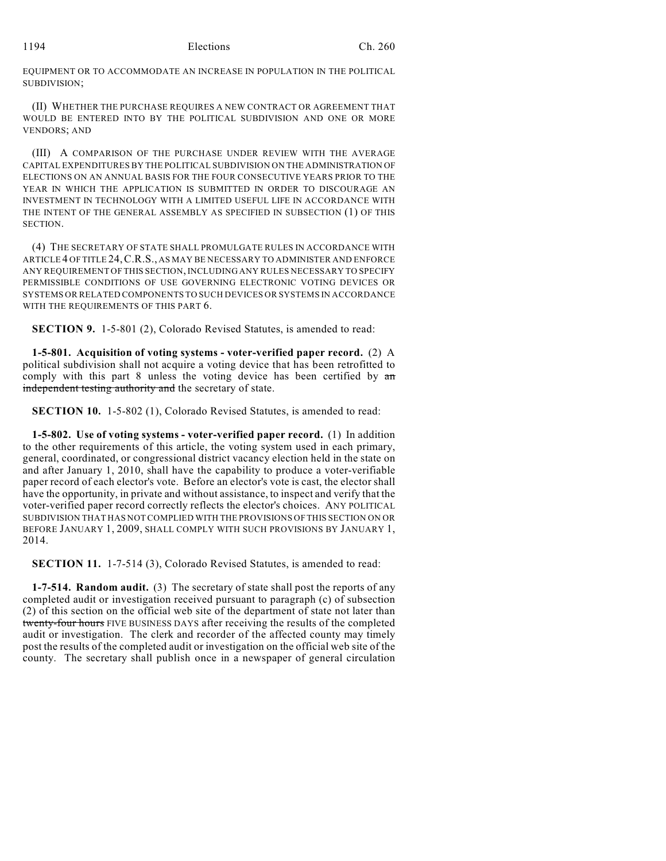EQUIPMENT OR TO ACCOMMODATE AN INCREASE IN POPULATION IN THE POLITICAL SUBDIVISION;

(II) WHETHER THE PURCHASE REQUIRES A NEW CONTRACT OR AGREEMENT THAT WOULD BE ENTERED INTO BY THE POLITICAL SUBDIVISION AND ONE OR MORE VENDORS; AND

(III) A COMPARISON OF THE PURCHASE UNDER REVIEW WITH THE AVERAGE CAPITAL EXPENDITURES BY THE POLITICAL SUBDIVISION ON THE ADMINISTRATION OF ELECTIONS ON AN ANNUAL BASIS FOR THE FOUR CONSECUTIVE YEARS PRIOR TO THE YEAR IN WHICH THE APPLICATION IS SUBMITTED IN ORDER TO DISCOURAGE AN INVESTMENT IN TECHNOLOGY WITH A LIMITED USEFUL LIFE IN ACCORDANCE WITH THE INTENT OF THE GENERAL ASSEMBLY AS SPECIFIED IN SUBSECTION (1) OF THIS SECTION.

(4) THE SECRETARY OF STATE SHALL PROMULGATE RULES IN ACCORDANCE WITH ARTICLE 4 OF TITLE 24,C.R.S., AS MAY BE NECESSARY TO ADMINISTER AND ENFORCE ANY REQUIREMENT OF THIS SECTION, INCLUDING ANY RULES NECESSARY TO SPECIFY PERMISSIBLE CONDITIONS OF USE GOVERNING ELECTRONIC VOTING DEVICES OR SYSTEMS OR RELATED COMPONENTS TO SUCH DEVICES OR SYSTEMS IN ACCORDANCE WITH THE REQUIREMENTS OF THIS PART 6.

**SECTION 9.** 1-5-801 (2), Colorado Revised Statutes, is amended to read:

**1-5-801. Acquisition of voting systems - voter-verified paper record.** (2) A political subdivision shall not acquire a voting device that has been retrofitted to comply with this part 8 unless the voting device has been certified by an independent testing authority and the secretary of state.

**SECTION 10.** 1-5-802 (1), Colorado Revised Statutes, is amended to read:

**1-5-802. Use of voting systems - voter-verified paper record.** (1) In addition to the other requirements of this article, the voting system used in each primary, general, coordinated, or congressional district vacancy election held in the state on and after January 1, 2010, shall have the capability to produce a voter-verifiable paper record of each elector's vote. Before an elector's vote is cast, the elector shall have the opportunity, in private and without assistance, to inspect and verify that the voter-verified paper record correctly reflects the elector's choices. ANY POLITICAL SUBDIVISION THAT HAS NOT COMPLIED WITH THE PROVISIONS OF THIS SECTION ON OR BEFORE JANUARY 1, 2009, SHALL COMPLY WITH SUCH PROVISIONS BY JANUARY 1, 2014.

**SECTION 11.** 1-7-514 (3), Colorado Revised Statutes, is amended to read:

**1-7-514. Random audit.** (3) The secretary of state shall post the reports of any completed audit or investigation received pursuant to paragraph (c) of subsection (2) of this section on the official web site of the department of state not later than twenty-four hours FIVE BUSINESS DAYS after receiving the results of the completed audit or investigation. The clerk and recorder of the affected county may timely post the results of the completed audit or investigation on the official web site of the county. The secretary shall publish once in a newspaper of general circulation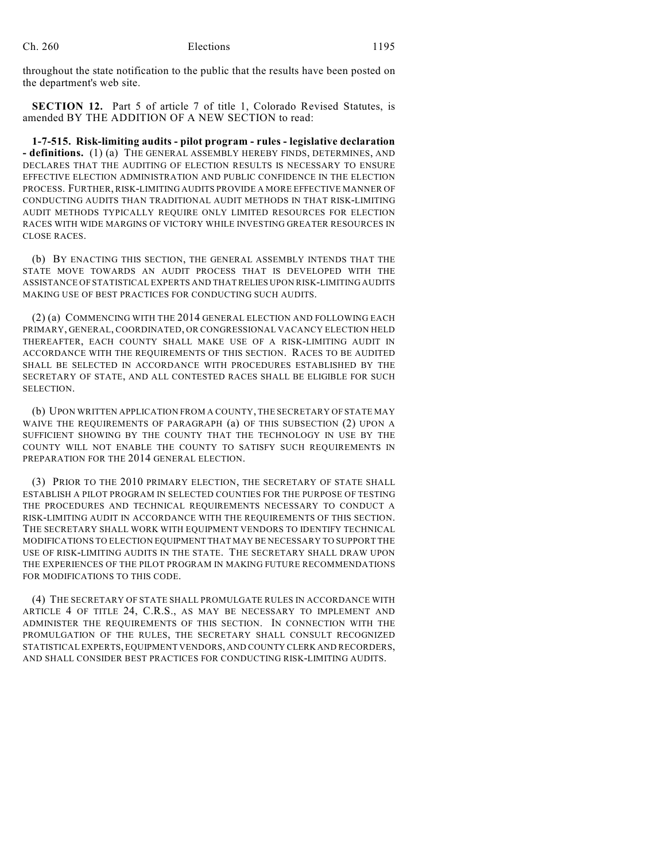throughout the state notification to the public that the results have been posted on the department's web site.

**SECTION 12.** Part 5 of article 7 of title 1, Colorado Revised Statutes, is amended BY THE ADDITION OF A NEW SECTION to read:

**1-7-515. Risk-limiting audits - pilot program - rules - legislative declaration - definitions.** (1) (a) THE GENERAL ASSEMBLY HEREBY FINDS, DETERMINES, AND DECLARES THAT THE AUDITING OF ELECTION RESULTS IS NECESSARY TO ENSURE EFFECTIVE ELECTION ADMINISTRATION AND PUBLIC CONFIDENCE IN THE ELECTION PROCESS. FURTHER, RISK-LIMITING AUDITS PROVIDE A MORE EFFECTIVE MANNER OF CONDUCTING AUDITS THAN TRADITIONAL AUDIT METHODS IN THAT RISK-LIMITING AUDIT METHODS TYPICALLY REQUIRE ONLY LIMITED RESOURCES FOR ELECTION RACES WITH WIDE MARGINS OF VICTORY WHILE INVESTING GREATER RESOURCES IN CLOSE RACES.

(b) BY ENACTING THIS SECTION, THE GENERAL ASSEMBLY INTENDS THAT THE STATE MOVE TOWARDS AN AUDIT PROCESS THAT IS DEVELOPED WITH THE ASSISTANCE OF STATISTICAL EXPERTS AND THAT RELIES UPON RISK-LIMITING AUDITS MAKING USE OF BEST PRACTICES FOR CONDUCTING SUCH AUDITS.

(2) (a) COMMENCING WITH THE 2014 GENERAL ELECTION AND FOLLOWING EACH PRIMARY, GENERAL, COORDINATED, OR CONGRESSIONAL VACANCY ELECTION HELD THEREAFTER, EACH COUNTY SHALL MAKE USE OF A RISK-LIMITING AUDIT IN ACCORDANCE WITH THE REQUIREMENTS OF THIS SECTION. RACES TO BE AUDITED SHALL BE SELECTED IN ACCORDANCE WITH PROCEDURES ESTABLISHED BY THE SECRETARY OF STATE, AND ALL CONTESTED RACES SHALL BE ELIGIBLE FOR SUCH SELECTION.

(b) UPON WRITTEN APPLICATION FROM A COUNTY, THE SECRETARY OF STATE MAY WAIVE THE REQUIREMENTS OF PARAGRAPH (a) OF THIS SUBSECTION (2) UPON A SUFFICIENT SHOWING BY THE COUNTY THAT THE TECHNOLOGY IN USE BY THE COUNTY WILL NOT ENABLE THE COUNTY TO SATISFY SUCH REQUIREMENTS IN PREPARATION FOR THE 2014 GENERAL ELECTION.

(3) PRIOR TO THE 2010 PRIMARY ELECTION, THE SECRETARY OF STATE SHALL ESTABLISH A PILOT PROGRAM IN SELECTED COUNTIES FOR THE PURPOSE OF TESTING THE PROCEDURES AND TECHNICAL REQUIREMENTS NECESSARY TO CONDUCT A RISK-LIMITING AUDIT IN ACCORDANCE WITH THE REQUIREMENTS OF THIS SECTION. THE SECRETARY SHALL WORK WITH EQUIPMENT VENDORS TO IDENTIFY TECHNICAL MODIFICATIONS TO ELECTION EQUIPMENT THAT MAY BE NECESSARY TO SUPPORT THE USE OF RISK-LIMITING AUDITS IN THE STATE. THE SECRETARY SHALL DRAW UPON THE EXPERIENCES OF THE PILOT PROGRAM IN MAKING FUTURE RECOMMENDATIONS FOR MODIFICATIONS TO THIS CODE.

(4) THE SECRETARY OF STATE SHALL PROMULGATE RULES IN ACCORDANCE WITH ARTICLE 4 OF TITLE 24, C.R.S., AS MAY BE NECESSARY TO IMPLEMENT AND ADMINISTER THE REQUIREMENTS OF THIS SECTION. IN CONNECTION WITH THE PROMULGATION OF THE RULES, THE SECRETARY SHALL CONSULT RECOGNIZED STATISTICAL EXPERTS, EQUIPMENT VENDORS, AND COUNTY CLERK AND RECORDERS, AND SHALL CONSIDER BEST PRACTICES FOR CONDUCTING RISK-LIMITING AUDITS.